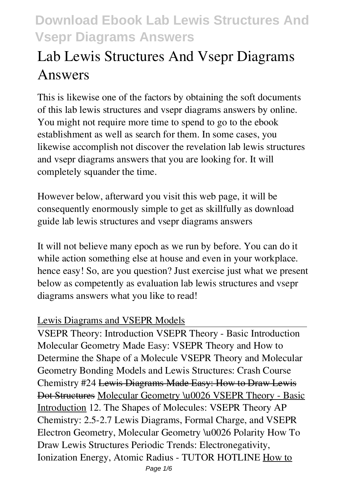# **Lab Lewis Structures And Vsepr Diagrams Answers**

This is likewise one of the factors by obtaining the soft documents of this **lab lewis structures and vsepr diagrams answers** by online. You might not require more time to spend to go to the ebook establishment as well as search for them. In some cases, you likewise accomplish not discover the revelation lab lewis structures and vsepr diagrams answers that you are looking for. It will completely squander the time.

However below, afterward you visit this web page, it will be consequently enormously simple to get as skillfully as download guide lab lewis structures and vsepr diagrams answers

It will not believe many epoch as we run by before. You can do it while action something else at house and even in your workplace. hence easy! So, are you question? Just exercise just what we present below as competently as evaluation **lab lewis structures and vsepr diagrams answers** what you like to read!

## Lewis Diagrams and VSEPR Models

VSEPR Theory: Introduction VSEPR Theory - Basic Introduction **Molecular Geometry Made Easy: VSEPR Theory and How to Determine the Shape of a Molecule** *VSEPR Theory and Molecular Geometry* Bonding Models and Lewis Structures: Crash Course Chemistry #24 Lewis Diagrams Made Easy: How to Draw Lewis Dot Structures Molecular Geometry \u0026 VSEPR Theory - Basic Introduction *12. The Shapes of Molecules: VSEPR Theory* **AP Chemistry: 2.5-2.7 Lewis Diagrams, Formal Charge, and VSEPR** *Electron Geometry, Molecular Geometry \u0026 Polarity How To Draw Lewis Structures* Periodic Trends: Electronegativity, Ionization Energy, Atomic Radius - TUTOR HOTLINE How to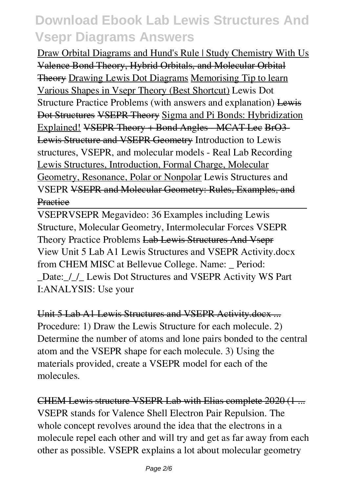Draw Orbital Diagrams and Hund's Rule | Study Chemistry With Us Valence Bond Theory, Hybrid Orbitals, and Molecular Orbital Theory Drawing Lewis Dot Diagrams Memorising Tip to learn Various Shapes in Vsepr Theory (Best Shortcut) *Lewis Dot Structure Practice Problems (with answers and explanation)* Lewis Dot Structures VSEPR Theory Sigma and Pi Bonds: Hybridization Explained! VSEPR Theory + Bond Angles MCAT Lee BrO3-Lewis Structure and VSEPR Geometry **Introduction to Lewis structures, VSEPR, and molecular models - Real Lab Recording** Lewis Structures, Introduction, Formal Charge, Molecular Geometry, Resonance, Polar or Nonpolar **Lewis Structures and VSEPR** VSEPR and Molecular Geometry: Rules, Examples, and **Practice** 

VSEPR*VSEPR Megavideo: 36 Examples including Lewis Structure, Molecular Geometry, Intermolecular Forces VSEPR Theory Practice Problems* Lab Lewis Structures And Vsepr View Unit 5 Lab A1 Lewis Structures and VSEPR Activity.docx from CHEM MISC at Bellevue College. Name: \_ Period: Date: / / Lewis Dot Structures and VSEPR Activity WS Part I:ANALYSIS: Use your

Unit 5 Lab A1 Lewis Structures and VSEPR Activity.docx ... Procedure: 1) Draw the Lewis Structure for each molecule. 2) Determine the number of atoms and lone pairs bonded to the central atom and the VSEPR shape for each molecule. 3) Using the materials provided, create a VSEPR model for each of the molecules.

CHEM Lewis structure VSEPR Lab with Elias complete 2020 (1 ... VSEPR stands for Valence Shell Electron Pair Repulsion. The whole concept revolves around the idea that the electrons in a molecule repel each other and will try and get as far away from each other as possible. VSEPR explains a lot about molecular geometry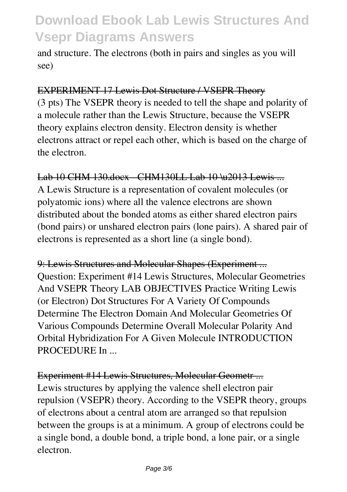and structure. The electrons (both in pairs and singles as you will see)

#### EXPERIMENT 17 Lewis Dot Structure / VSEPR Theory

(3 pts) The VSEPR theory is needed to tell the shape and polarity of a molecule rather than the Lewis Structure, because the VSEPR theory explains electron density. Electron density is whether electrons attract or repel each other, which is based on the charge of the electron.

### Lab 10 CHM 130.docx CHM130LL Lab 10 \u2013 Lewis ...

A Lewis Structure is a representation of covalent molecules (or polyatomic ions) where all the valence electrons are shown distributed about the bonded atoms as either shared electron pairs (bond pairs) or unshared electron pairs (lone pairs). A shared pair of electrons is represented as a short line (a single bond).

9: Lewis Structures and Molecular Shapes (Experiment ... Question: Experiment #14 Lewis Structures, Molecular Geometries And VSEPR Theory LAB OBJECTIVES Practice Writing Lewis (or Electron) Dot Structures For A Variety Of Compounds Determine The Electron Domain And Molecular Geometries Of Various Compounds Determine Overall Molecular Polarity And Orbital Hybridization For A Given Molecule INTRODUCTION PROCEDURE In ...

### Experiment #14 Lewis Structures, Molecular Geometr ...

Lewis structures by applying the valence shell electron pair repulsion (VSEPR) theory. According to the VSEPR theory, groups of electrons about a central atom are arranged so that repulsion between the groups is at a minimum. A group of electrons could be a single bond, a double bond, a triple bond, a lone pair, or a single electron.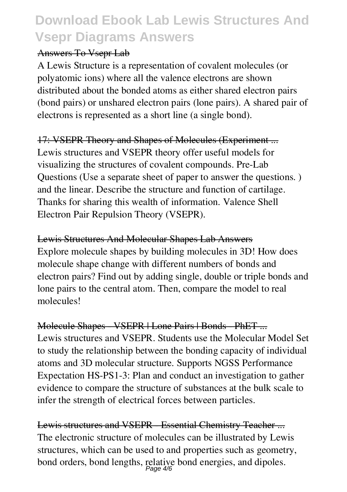### Answers To Vsepr Lab

A Lewis Structure is a representation of covalent molecules (or polyatomic ions) where all the valence electrons are shown distributed about the bonded atoms as either shared electron pairs (bond pairs) or unshared electron pairs (lone pairs). A shared pair of electrons is represented as a short line (a single bond).

## 17: VSEPR Theory and Shapes of Molecules (Experiment ...

Lewis structures and VSEPR theory offer useful models for visualizing the structures of covalent compounds. Pre-Lab Questions (Use a separate sheet of paper to answer the questions. ) and the linear. Describe the structure and function of cartilage. Thanks for sharing this wealth of information. Valence Shell Electron Pair Repulsion Theory (VSEPR).

### Lewis Structures And Molecular Shapes Lab Answers

Explore molecule shapes by building molecules in 3D! How does molecule shape change with different numbers of bonds and electron pairs? Find out by adding single, double or triple bonds and lone pairs to the central atom. Then, compare the model to real molecules!

### Molecule Shapes - VSEPR | Lone Pairs | Bonds - PhET ...

Lewis structures and VSEPR. Students use the Molecular Model Set to study the relationship between the bonding capacity of individual atoms and 3D molecular structure. Supports NGSS Performance Expectation HS-PS1-3: Plan and conduct an investigation to gather evidence to compare the structure of substances at the bulk scale to infer the strength of electrical forces between particles.

Lewis structures and VSEPR Essential Chemistry Teacher... The electronic structure of molecules can be illustrated by Lewis structures, which can be used to and properties such as geometry, bond orders, bond lengths, relative bond energies, and dipoles.<br> $P_{\text{age}}4/6$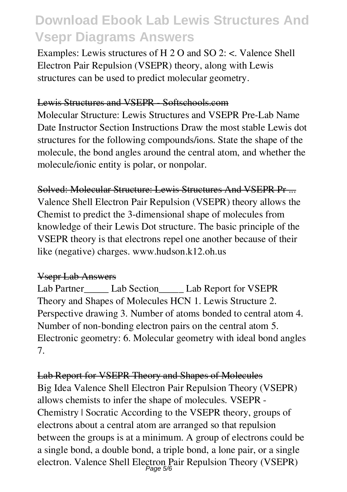Examples: Lewis structures of H 2 O and SO 2: <. Valence Shell Electron Pair Repulsion (VSEPR) theory, along with Lewis structures can be used to predict molecular geometry.

#### Lewis Structures and VSEPR - Softschools.com

Molecular Structure: Lewis Structures and VSEPR Pre-Lab Name Date Instructor Section Instructions Draw the most stable Lewis dot structures for the following compounds/ions. State the shape of the molecule, the bond angles around the central atom, and whether the molecule/ionic entity is polar, or nonpolar.

#### Solved: Molecular Structure: Lewis Structures And VSEPR Pr ...

Valence Shell Electron Pair Repulsion (VSEPR) theory allows the Chemist to predict the 3-dimensional shape of molecules from knowledge of their Lewis Dot structure. The basic principle of the VSEPR theory is that electrons repel one another because of their like (negative) charges. www.hudson.k12.oh.us

### Vsepr Lab Answers

Lab Partner \_\_\_\_\_ Lab Section\_\_\_\_\_\_ Lab Report for VSEPR Theory and Shapes of Molecules HCN 1. Lewis Structure 2. Perspective drawing 3. Number of atoms bonded to central atom 4. Number of non-bonding electron pairs on the central atom 5. Electronic geometry: 6. Molecular geometry with ideal bond angles 7.

## Lab Report for VSEPR Theory and Shapes of Molecules

Big Idea Valence Shell Electron Pair Repulsion Theory (VSEPR) allows chemists to infer the shape of molecules. VSEPR - Chemistry | Socratic According to the VSEPR theory, groups of electrons about a central atom are arranged so that repulsion between the groups is at a minimum. A group of electrons could be a single bond, a double bond, a triple bond, a lone pair, or a single electron. Valence Shell Electron Pair Repulsion Theory (VSEPR) Page 5/6